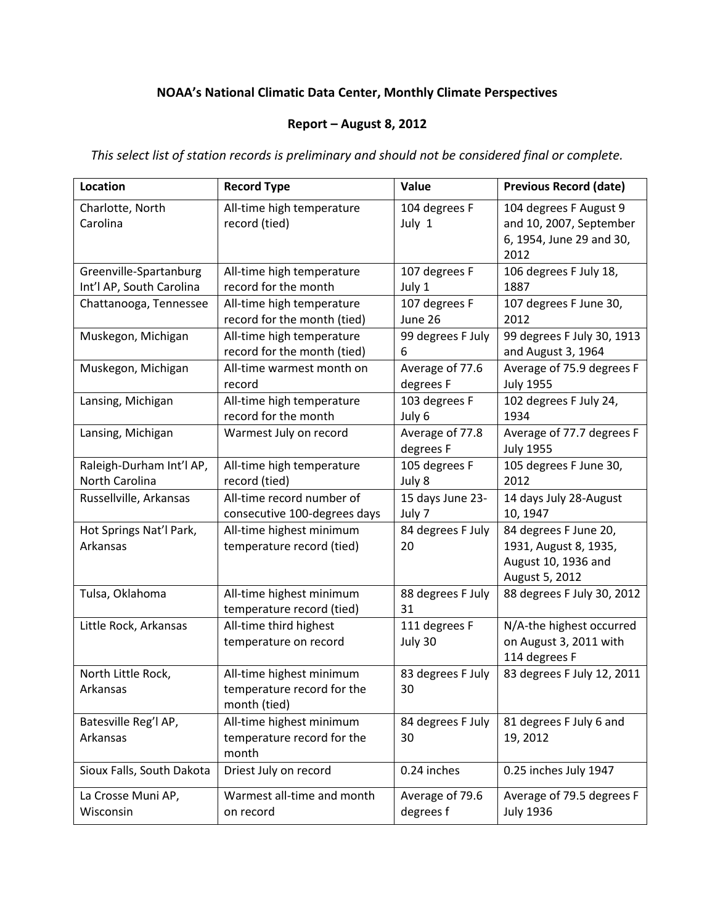## **NOAA's National Climatic Data Center, Monthly Climate Perspectives**

## **Report – August 8, 2012**

*This select list of station records is preliminary and should not be considered final or complete.*

| Location                            | <b>Record Type</b>                                                     | Value                        | <b>Previous Record (date)</b>                                                           |
|-------------------------------------|------------------------------------------------------------------------|------------------------------|-----------------------------------------------------------------------------------------|
| Charlotte, North<br>Carolina        | All-time high temperature<br>record (tied)                             | 104 degrees F<br>July 1      | 104 degrees F August 9<br>and 10, 2007, September<br>6, 1954, June 29 and 30,<br>2012   |
| Greenville-Spartanburg              | All-time high temperature                                              | 107 degrees F                | 106 degrees F July 18,                                                                  |
| Int'l AP, South Carolina            | record for the month                                                   | July 1                       | 1887                                                                                    |
| Chattanooga, Tennessee              | All-time high temperature<br>record for the month (tied)               | 107 degrees F<br>June 26     | 107 degrees F June 30,<br>2012                                                          |
| Muskegon, Michigan                  | All-time high temperature                                              | 99 degrees F July            | 99 degrees F July 30, 1913                                                              |
|                                     | record for the month (tied)                                            | 6                            | and August 3, 1964                                                                      |
| Muskegon, Michigan                  | All-time warmest month on<br>record                                    | Average of 77.6<br>degrees F | Average of 75.9 degrees F<br><b>July 1955</b>                                           |
| Lansing, Michigan                   | All-time high temperature<br>record for the month                      | 103 degrees F<br>July 6      | 102 degrees F July 24,<br>1934                                                          |
| Lansing, Michigan                   | Warmest July on record                                                 | Average of 77.8<br>degrees F | Average of 77.7 degrees F<br><b>July 1955</b>                                           |
| Raleigh-Durham Int'l AP,            | All-time high temperature                                              | 105 degrees F                | 105 degrees F June 30,                                                                  |
| North Carolina                      | record (tied)                                                          | July 8                       | 2012                                                                                    |
| Russellville, Arkansas              | All-time record number of<br>consecutive 100-degrees days              | 15 days June 23-<br>July 7   | 14 days July 28-August<br>10, 1947                                                      |
| Hot Springs Nat'l Park,<br>Arkansas | All-time highest minimum<br>temperature record (tied)                  | 84 degrees F July<br>20      | 84 degrees F June 20,<br>1931, August 8, 1935,<br>August 10, 1936 and<br>August 5, 2012 |
| Tulsa, Oklahoma                     | All-time highest minimum<br>temperature record (tied)                  | 88 degrees F July<br>31      | 88 degrees F July 30, 2012                                                              |
| Little Rock, Arkansas               | All-time third highest<br>temperature on record                        | 111 degrees F<br>July 30     | N/A-the highest occurred<br>on August 3, 2011 with<br>114 degrees F                     |
| North Little Rock,<br>Arkansas      | All-time highest minimum<br>temperature record for the<br>month (tied) | 83 degrees F July<br>30      | 83 degrees F July 12, 2011                                                              |
| Batesville Reg'l AP,<br>Arkansas    | All-time highest minimum<br>temperature record for the<br>month        | 84 degrees F July<br>30      | 81 degrees F July 6 and<br>19, 2012                                                     |
| Sioux Falls, South Dakota           | Driest July on record                                                  | 0.24 inches                  | 0.25 inches July 1947                                                                   |
| La Crosse Muni AP,<br>Wisconsin     | Warmest all-time and month<br>on record                                | Average of 79.6<br>degrees f | Average of 79.5 degrees F<br><b>July 1936</b>                                           |